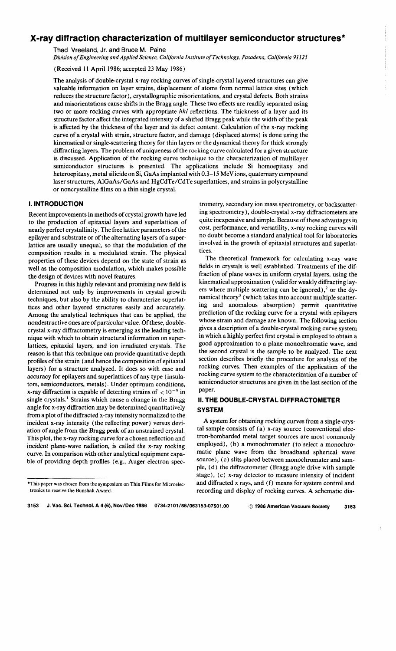# X-ray diffraction characterization of multilayer semiconductor structures\*

Thad Vreeland, Jr. and Bruce M. Paine

*Division of Engineering and Applied Science, California Institute of Technology, Pasadena, California 91125* 

(Received 11 April 1986; accepted 23 May 1986)

The analysis of double-crystal x-ray rocking curves of single-crystal layered structures can give valuable information on layer strains, displacement of atoms from normal lattice sites (which reduces the structure factor), crystallographic misorientations, and crystal defects. Both strains and misorientations cause shifts in the Bragg angle. These two effects are readily separated using two or more rocking curves with appropriate *hkl* reflections. The thickness of a layer and its structure factor affect the integrated intensity of a shifted Bragg peak while the width of the peak is affected by the thickness of the layer and its defect content. Calculation of the x-ray rocking curve of a crystal with strain, structure factor, and damage (displaced atoms) is done using the kinematical or single-scattering theory for thin layers or the dynamical theory for thick strongly diffracting layers. The problem of uniqueness of the rocking curve calculated for a given structure is discussed. Application of the rocking curve technique to the characterization of multilayer semiconductor structures is presented. The applications include Si homoepitaxy and heteroepitaxy, metal silicide on Si, GaAs implanted with 0.3-15 MeV ions, quaternary compound laser structures, AlGaAs/GaAs and HgCdTe/CdTe superlattices, and strains in polycrystalline or noncrystalline films on a thin single crystal.

## I. INTRODUCTION

Recent improvements in methods of crystal growth have led to the production of epitaxial layers and superlattices of nearly perfect crystallinity. The free lattice parameters of the epilayer and substrate or of the alternating layers of a superlattice are usua1ly unequal, so that the modulation of the composition results in a modulated strain. The physical properties of these devices depend on the state of strain as well as the composition modulation, which makes possible the design of devices with novel features.

Progress in this highly relevant and promising new field is determined not only by improvements in crystal growth techniques, but also by the ability to characterize superlattices and other layered structures easily and accurately. Among the analytical techniques that can be applied, the nondestructive ones are of particular value. Of these, doublecrystal x-ray diffractometry is emerging as the leading technique with which to obtain structural information on superlattices, epitaxial layers, and ion irradiated crystals. The reason is that this technique can provide quantitative depth profiles of the strain (and hence the composition of epitaxial layers) for a structure analyzed. It does so with ease and accuracy for epilayers and superlattices of any type (insulators, semiconductors, metals). Under optimum conditions, x-ray diffraction is capable of detecting strains of  $\langle 10^{-8} \text{ in} \rangle$ single crystals.<sup>1</sup> Strains which cause a change in the Bragg angle for x-ray diffraction may be determined quantitatively from a plot of the diffracted x-ray intensity normalized to the incident x-ray intensity (the reflecting power) versus deviation of angle from the Bragg peak of an unstrained crystal. This plot, the x-ray rocking curve for a chosen reflection and incident plane-wave radiation, is called the x-ray rocking curve. In comparison with other analytical equipment capable of providing depth profiles (e.g., Auger electron spec-

3153 J. Vac. Sci. Technol. A 4 (6), Nov/Dec 1986 0734-2101/86/063153-07\$01.00 © 1986 American Vacuum Society 3153

trometry, secondary ion mass spectrometry, or backscattering spectrometry), double-crystal x-ray diffractometers are quite inexpensive and simple. Because of these advantages in cost, performance, and versatility, x-ray rocking curves will no doubt become a standard analytical tool for laboratories involved in the growth of epitaxial structures and superlattices.

The theoretical framework for calculating x-ray wave fields in crystals is well established. Treatments of the diffraction of plane waves in uniform crystal layers, using the kinematical approximation (valid for weakly diffracting layers where multiple scattering can be ignored),<sup>2</sup> or the dynamical theory<sup>3</sup> (which takes into account multiple scattering and anomalous absorption) permit quantitative prediction of the rocking curve for a crystal with epilayers whose strain and damage are known. The following section gives a description of a double-crystal rocking curve system in which a highly perfect first crystal is employed to obtain a good approximation to a plane monochromatic wave, and the second crystal is the sample to be analyzed. The next section describes briefly the procedure for analysis of the rocking curves. Then examples of the application of the rocking curve system to the characterization of a number of semiconductor structures are given in the last section of the paper.

## II. THE DOUBLE-CRYSTAL DIFFRACTOMETER **SYSTEM**

A system for obtaining rocking curves from a single-crystal sample consists of (a) x-ray source (conventional electron-bombarded metal target sources are most commonly employed), (b) a monochromater (to select a monochromatic plane wave from the broadband spherical wave source), (c) slits placed between monochromater and sample, (d) the diffractometer (Bragg angle drive with sample stage), (e) x-ray detector to measure intensity of incident and diffracted x rays, and (f) means for system control and recording and display of rocking curves. A schematic dia-

<sup>\*</sup>This paper was chosen from the symposium on Thin Films for Microelectronics to receive the Bunshah Award.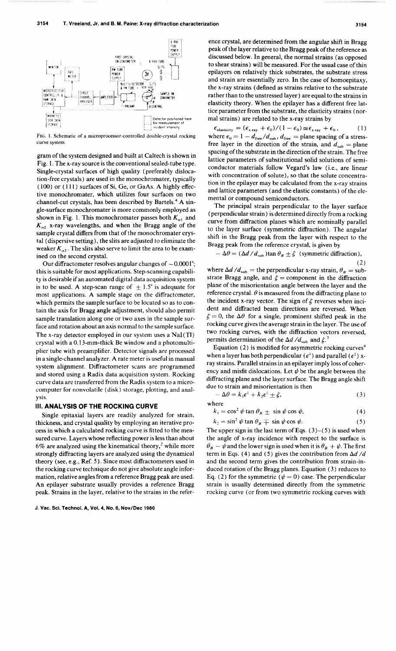

FIG. I. Schematic of a microprocessor-controlled double-crystal rocking curve system.

gram of the system designed and built at Caltech is shown in Fig. l. The x-ray source is the conventional sealed-tube type. Single-crystal surfaces of high quality (preferably dislocation-free crystals) are used in the monochromater, typically  $(100)$  or  $(111)$  surfaces of Si, Ge, or GaAs. A highly effective monochromater, which utilizes four surfaces on two channel-cut crystals, has been described by Bartels.<sup>4</sup> A single-surface monochromater is more commonly employed as shown in Fig. 1. This monochromater passes both  $K_{\alpha 1}$  and  $K_{\alpha 2}$  x-ray wavelengths, and when the Bragg angle of the sample crystal differs from that of the monochromater crystal (dispersive setting), the slits are adjusted to eliminate the weaker  $K_{\alpha 2}$ . The slits also serve to limit the area to be examined on the second crystal.

Our diffractometer resolves angular changes of  $\sim$  0.0001°; this is suitable for most applications. Step-scanning capability is desirable if an automated digital data acquisition system is to be used. A step-scan range of  $+1.5^{\circ}$  is adequate for most applications. A sample stage on the diffractometer, which permits the sample surface to be located so as to contain the axis for Bragg angle adjustment, should also permit sample translation along one or two axes in the sample surface and rotation about an axis normal to the sample surface. The x-ray detector employed in our system uses a Nal(TI) crystal with a 0.13-mm-thick Be window and a photomultiplier tube with preamplifier. Detector signals are processed in a single-channel analyzer. A rate meter is useful in manual system alignment. Diffractometer scans are programmed and stored using a Radix data acquisition system. Rocking curve data are transferred from the Radix system to a microcomputer for nonvolatile (disk) storage, plotting, and analysis.

#### Ill. **ANALYSIS OF THE ROCKING CURVE**

Single epitaxial layers are readily analyzed for strain, thickness, and crystal quality by employing an iterative process in which a calculated rocking curve is fitted to the measured curve. Layers whose reflecting power is less than about 6% are analyzed using the kinematical theory,<sup>2</sup> while more strongly diffracting layers are analyzed using the dynamical theory (see, e.g., Ref. S). Since most diffractometers used in the rocking curve technique do not give absolute angle information, relative angles from a reference Bragg peak are used. An epilayer substrate usually provides a reference Bragg peak. Strains in the layer, relative to the strains in the refer-

J. Vac. Sci. Technol. A, Vol. 4, No.6, Nov/Dec 1986

ence crystal, are determined from the angular shift in Bragg peak of the layer relative to the Bragg peak of the reference as discussed below. In general, the normal strains (as opposed to shear strains) will be measured. For the usual case of thin epilayers on relatively thick substrates, the substrate stress and strain are essentially zero. In the case of homoepitaxy, the x-ray strains (defined as strains relative to the substrate rather than to the unstressed layer) are equal to the strains in elasticity theory. When the epilayer has a different free lattice parameter from the substrate, the elasticity strains (normal strains) are related to the x-ray strains by

 $\epsilon_{\text{elasticity}} = (\epsilon_{\text{x ray}} + \epsilon_0)/(1-\epsilon_0) \approx \epsilon_{\text{x ray}} + \epsilon_0,$  (1) where  $\epsilon_0 = 1 - d_{\text{free}}/d_{\text{sub}}$ ,  $d_{\text{free}} =$  plane spacing of a stressfree layer in the direction of the strain, and  $d_{sub} =$  plane spacing of the substrate in the direction of the strain. The free lattice parameters of substitutional solid solutions of semiconductor materials follow Vegard's law (i.e., are linear with concentration of solute), so that the solute concentration in the epilayer may be calculated from the x-ray strains and lattice parameters (and the elastic constants) of the elemental or compound semiconductors.

The principal strain perpendicular to the layer surface (perpendicular strain) is determined directly from a rocking curve from diffraction planes which are nominally parallel to the layer surface (symmetric diffraction). The angular shift in the Bragg peak from the layer with respect to the Bragg peak from the reference crystal, is given by

$$
-\Delta\theta = (\Delta d / d_{sub})\tan\theta_B \pm \xi \text{ (symmetric diffraction)},
$$
\n(2)

where  $\Delta d / d_{sub} =$  the perpendicular x-ray strain,  $\theta_B =$  substrate Bragg angle, and  $\xi$  = component in the diffraction plane of the misorientation angle between the layer and the reference crystal.  $\theta$  is measured from the diffracting plane to the incident x-ray vector. The sign of  $\xi$  reverses when incident and diffracted beam directions are reversed. When  $\xi = 0$ , the  $\Delta\theta$  for a single, prominent shifted peak in the rocking curve gives the average strain in the layer. The use of two rocking curves, with the diffraction vectors reversed, permits determination of the  $\Delta d / d_{sub}$  and  $\xi$ .<sup>7</sup>

Equation  $(2)$  is modified for asymmetric rocking curves<sup>8</sup> when a layer has both perpendicular ( $\epsilon^{\perp}$ ) and parallel ( $\epsilon^{\parallel}$ ) xray strains. Parallel strains in an epilayer imply loss of coherency and misfit dislocations. Let  $\psi$  be the angle between the diffracting plane and the layer surface. The Bragg angle shift due to strain and misorientation is then

$$
-\Delta\theta = k_1 \epsilon^1 + k_2 \epsilon^{\parallel} \pm \xi,
$$
\n(3)

where  
\n
$$
k_1 = \cos^2 \psi \tan \theta_B \pm \sin \psi \cos \psi,
$$
 (4)

$$
k_2 = \sin^2 \psi \tan \theta_B \mp \sin \psi \cos \psi. \tag{5}
$$

The upper sign in the last term of Eqs.  $(3)$ – $(5)$  is used when the angle of x-ray incidence with respect to the surface is  $\theta_B - \psi$  and the lower sign is used when it is  $\theta_B + \psi$ . The first term in Eqs. (4) and (5) gives the contribution from  $\Delta d / d$ and the second term gives the contribution from strain-induced rotation of the Bragg planes. Equation ( 3) reduces to Eq. (2) for the symmetric ( $\psi = 0$ ) case. The perpendicular strain is usually determined directly from the symmetric rocking curve (or from two symmetric rocking curves with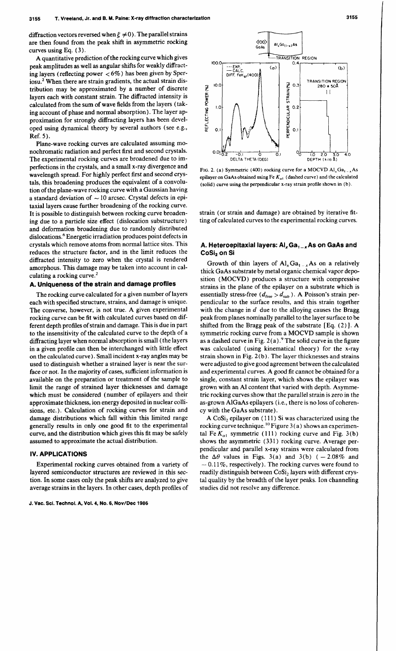diffraction vectors reversed when  $\xi \neq 0$ ). The parallel strains are then found from the peak shift in asymmetric rocking curves using Eq. ( 3).

A quantitative prediction of the rocking curve which gives peak amplitudes as well as angular shifts for weakly diffracting layers (reflecting power  $< 6\%$ ) has been given by Speriosu.<sup>2</sup> When there are strain gradients, the actual strain distribution may be approximated by a number of discrete layers each with constant strain. The diffracted intensity is calculated from the sum of wave fields from the layers ( taking account of phase and normal absorption). The layer approximation for strongly diffracting layers has been developed using dynamical theory by several authors (see e.g., Ref. 5).

Plane-wave rocking curves are calculated assuming monochromatic radiation and perfect first and second crystals. The experimental rocking curves are broadened due to imperfections in the crystals, and a small x-ray divergence and wavelength spread. For highly perfect first and second crystals, this broadening produces the equivalent of a convolution of the plane-wave rocking curve with a Gaussian having a standard deviation of  $\sim$  10 arcsec. Crystal defects in epitaxial layers cause further broadening of the rocking curve. It is possible to distinguish between rocking curve broadening due to a particle size effect (dislocation substructure) and deformation broadening due to randomly distributed dislocations. <sup>6</sup>Energetic irradiation produces point defects in crystals which remove atoms from normal lattice sites. This reduces the structure factor, and in the limit reduces the diffracted intensity to zero when the crystal is rendered amorphous. This damage may be taken into account in calculating a rocking curve.<sup>2</sup>

#### A. Uniqueness of the strain and damage profiles

The rocking curve calculated for a given number of layers each with specified structure, strains, and damage is unique. The converse, however, is not true. A given experimental rocking curve can be fit with calculated curves based on different depth profiles of strain and damage. This is due in part to the insensitivity of the calculated curve to the depth of a diffracting layer when normal absorption is small (the layers in a given profile can then be interchanged with little effect on the calculated curve). Small incident x-ray angles may be used to distinguish whether a strained layer is near the surface or not. In the majority of cases, sufficient information is available on the preparation or treatment of the sample to limit the range of strained layer thicknesses and damage which must be considered (number of epilayers and their approximate thickness, ion energy deposited in nuclear collisions, etc.). Calculation of rocking curves for strain and damage distributions which fall within this limited range generally results in only one good fit to the experimental curve, and the distribution which gives this fit may be safely assumed to approximate the actual distribution.

#### IV. APPLICATIONS

Experimental rocking curves obtained from a variety of layered semiconductor structures are reviewed in this section. In some cases only the peak shifts are analyzed to give average strains in the layers. In other cases, depth profiles of

J. Vac. Sci. Techno!. A, Vol. 4, No.6, Nov/Dec 1986



FIG. 2. (a) Symmetric (400) rocking curve for a MOCVD  $Al_xGa_{1-x}As$ epilayer on GaAs obtained using Fe  $K_{a1}$  (dashed curve) and the calculated (solid) curve using the perpendicular x-ray strain profile shown in (b).

strain (or strain and damage) are obtained by iterative fitting of calculated curves to the experimental rocking curves.

## A. Heteroepitaxial layers:  $\mathsf{Al}_x\mathsf{Ga}_{1-x}\mathsf{As}$  on GaAs and CoSi<sub>2</sub> on Si

Growth of thin layers of  $Al_x Ga_{1-x}As$  on a relatively thick GaAs substrate by metal organic chemical vapor deposition (MOCVD) produces a structure with compressive strains in the plane of the epilayer on a substrate which is essentially stress-free ( $d_{\text{free}} > d_{\text{sub}}$ ). A Poisson's strain perpendicular to the surface results, and this strain together with the change in *d* due to the alloying causes the Bragg peak from planes nominally parallel to the layer surface to be shifted from the Bragg peak of the substrate [Eq. (2)]. A symmetric rocking curve from a MOCVD sample is shown as a dashed curve in Fig. 2(a).<sup>9</sup> The solid curve in the figure was calculated (using kinematical theory) for the x-ray strain shown in Fig. 2 (b). The layer thicknesses and strains were adjusted to give good agreement between the calculated and experimental curves. A good fit cannot be obtained for a single, constant strain layer, which shows the epilayer was grown with an AI content that varied with depth. Asymmetric rocking curves show that the parallel strain is zero in the as-grown AlGaAs epilayers (i.e., there is no loss of coherency with the GaAs substrate)\_

A  $CoSi<sub>2</sub>$  epilayer on (111) Si was characterized using the rocking curve technique.<sup>10</sup> Figure 3(a) shows an experimental Fe  $K_{\alpha 1}$  symmetric (111) rocking curve and Fig. 3(b) shows the asymmetric ( 331) rocking curve. Average perpendicular and parallel x-ray strains were calculated from the  $\Delta\theta$  values in Figs. 3(a) and 3(b) (-2.08% and - 0.11 %, respectively). The rocking curves were found to readily distinguish between  $CoSi<sub>2</sub>$  layers with different crystal quality by the breadth of the layer peaks. Ion channeling studies did not resolve any difference.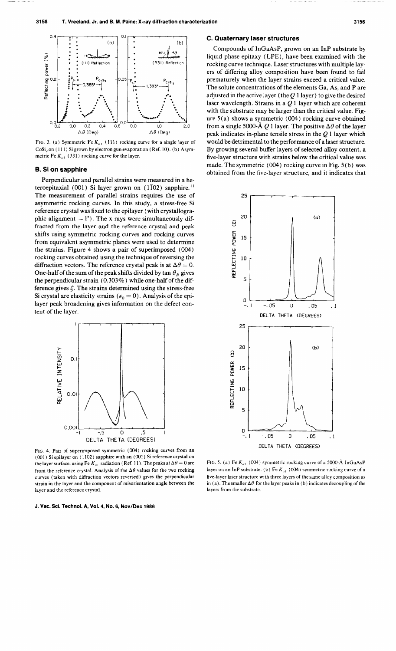

FIG. 3. (a) Symmetric Fe  $K_{a1}$  (111) rocking curve for a single layer of CoSi<sub>2</sub> on (111) Si grown by electron gun evaporation (Ref. 10). (b) Asymmetric Fe  $K_{a1}$  (331) rocking curve for the layer.

## B. Si on sapphire

Perpendicular and parallel strains were measured in a heteroepitaxial (001) Si layer grown on (1102) sapphire.<sup>1</sup> The measurement of parallel strains requires the use of asymmetric rocking curves. In this study, a stress-free Si reference crystal was fixed to the epilayer (with crystallographic alignment  $\sim$  1°). The x rays were simultaneously diffracted from the layer and the reference crystal and peak shifts using symmetric rocking curves and rocking curves from equivalent asymmetric planes were used to determine the strains. Figure 4 shows a pair of superimposed ( 004) rocking curves obtained using the technique of reversing the diffraction vectors. The reference crystal peak is at  $\Delta\theta = 0$ . One-half of the sum of the peak shifts divided by tan  $\theta_B$  gives the perpendicular strain  $(0.303\%)$  while one-half of the difference gives  $\xi$ . The strains determined using the stress-free Si crystal are elasticity strains ( $\epsilon_0 = 0$ ). Analysis of the epilayer peak broadening gives information on the defect content of the layer.



FIG. 4. Pair of superimposed symmetric (004) rocking curves from an (001) Si epilayer on ( 1102) sapphire with an (001) Si reference crystal on the layer surface, using Fe  $K_{a1}$  radiation (Ref. 11). The peaks at  $\Delta\theta=0$  are from the reference crystal. Analysis of the  $\Delta\theta$  values for the two rocking curves (taken with diffraction vectors reversed) gives the perpendicular strain in the layer and the component of misorientation angle between the layer and the reference crystal.

J. Vac. Sci. Technol. A, Vol. 4, No. 6, Nov/Dec 1986

#### C. Quaternary laser structures

Compounds of InGaAsP, grown on an InP substrate by liquid phase epitaxy (LPE), have been examined with the rocking curve technique. Laser structures with multiple layers of differing alloy composition have been found to fail prematurely when the layer strains exceed a critical value. The solute concentrations of the elements Ga, As, and P are adjusted in the active layer (the  $Q$  1 layer) to give the desired laser wavelength. Strains in a *Q* I layer which are coherent with the substrate may be larger than the critical value. Figure  $5(a)$  shows a symmetric (004) rocking curve obtained from a single 5000- $\AA$  Q 1 layer. The positive  $\Delta\theta$  of the layer peak indicates in-plane tensile stress in the *Q* I layer which would be detrimental to the performance of a laser structure. By growing several buffer layers of selected alloy content, a five-layer structure with strains below the critical value was made. The symmetric (004) rocking curve in Fig. 5(b) was obtained from the five-layer structure, and it indicates that



FIG. 5. (a) Fe  $K_{a1}$  (004) symmetric rocking curve of a 5000- $\AA$  InGaAsP layer on an InP substrate. (b) Fe  $K_{a1}$  (004) symmetric rocking curve of a five-layer laser structure with three layers of the same alloy composition as in (a). The smaller  $\Delta\theta$  for the layer peaks in (b) indicates decoupling of the layers from the substrate.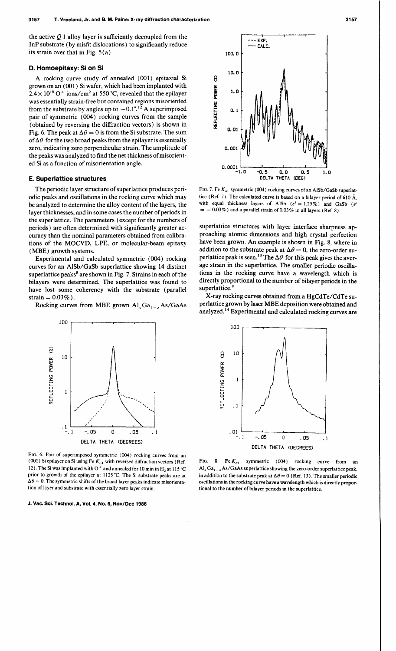the active  $Q$  1 alloy layer is sufficiently decoupled from the InP substrate (by misfit dislocations) to significantly reduce its strain over that in Fig. *5* (a).

## **D. Homoepitaxy: Si on Si**

A rocking curve study of annealed (001) epitaxial Si grown on an (001) Si wafer, which had been implanted with  $2.4 \times 10^{18}$  O<sup>+</sup> ions/cm<sup>2</sup> at 550 °C, revealed that the epilayer was essentially strain-free but contained regions misoriented from the substrate by angles up to  $\sim 0.1$ °.<sup>12</sup> A superimposed pair of symmetric (004) rocking curves from the sample (obtained by reversing the diffraction vectors) is shown in Fig. 6. The peak at  $\Delta\theta = 0$  is from the Si substrate. The sum of  $\Delta\theta$  for the two broad peaks from the epilayer is essentially zero, indicating zero perpendicular strain. The amplitude of the peaks was analyzed to find the net thickness of misoriented Si as a function of misorientation angle.

## **E. Superlattice structures**

The periodic layer structure of superlattice produces periodic peaks and oscillations in the rocking curve which may be analyzed to determine the alloy content of the layers, the layer thicknesses, and in some cases the number of periods in the superlattice. The parameters (except for the numbers of periods) are often determined with significantly greater accuracy than the nominal parameters obtained from calibrations of the MOCVD, LPE, or molecular-beam epitaxy (MBE) growth systems.

Experimental and calculated symmetric (004) rocking curves for an AlSb/GaSb superlattice showing 14 distinct superlattice peaks<sup>8</sup> are shown in Fig. 7. Strains in each of the bilayers were determined. The superlattice was found to have lost some coherency with the substrate (parallel strain =  $0.03\%$ ).

Rocking curves from MBE grown  $Al_xGa_{1-x}As/GaAs$ 



FIG. 6. Pair of superimposed symmetric (004) rocking curves from an (001) Si epilayer on Si using Fe  $K_{\alpha 1}$  with reversed diffraction vectors (Ref. 12). The Si was implanted with O<sup>+</sup> and annealed for 10 min in H<sub>2</sub> at 115 °C prior to growth of the epilayer at 1125 'C. The Si substrate peaks are at  $\Delta\theta = 0$ . The symmetric shifts of the broad layer peaks indicate misorientation of layer and substrate with essentially zero layer strain.

J. Vac. Sci. Techno!. **A,** Vol. 4, No.6, Nov/Dec 1986



FIG. 7. Fe  $K_{\alpha 1}$  symmetric (004) rocking curves of an AlSb/GaSb superlattice (Ref. 7). The calculated curve is based on a bilayer period of 610 A, with equal thickness layers of AlSb  $(\epsilon^1 = 1.25\%)$  and GaSb  $(\epsilon^1)$  $= -0.03\%$ ) and a parallel strain of 0.03% in all layers (Ref. 8).

superlattice structures with layer interface sharpness approaching atomic dimensions and high crystal perfection have been grown. An example is shown in Fig. 8, where in addition to the substrate peak at  $\Delta\theta = 0$ , the zero-order superlattice peak is seen.<sup>13</sup> The  $\Delta\theta$  for this peak gives the average strain in the superlattice. The smaller periodic oscillations in the rocking curve have a wavelength which is directly proportional to the number of bilayer periods in the superlattice.<sup>8</sup>

X-ray rocking curves obtained from a HgCdTe/CdTe superlattice grown by laser MBE deposition were obtained and analyzed.<sup>14</sup> Experimental and calculated rocking curves are



FIG. 8. Fe $K_{\alpha 1}$  symmetric (004) rocking curve from an  $\text{Al}_x\text{Ga}_{1-x}$  As/GaAs superlattice showing the zero-order superlattice peak, in addition to the substrate peak at  $\Delta\theta = 0$  (Ref. 13). The smaller periodic oscillations in the rocking curve have a wavelength which is directly proportional to the number of bilayer periods in the superlattice.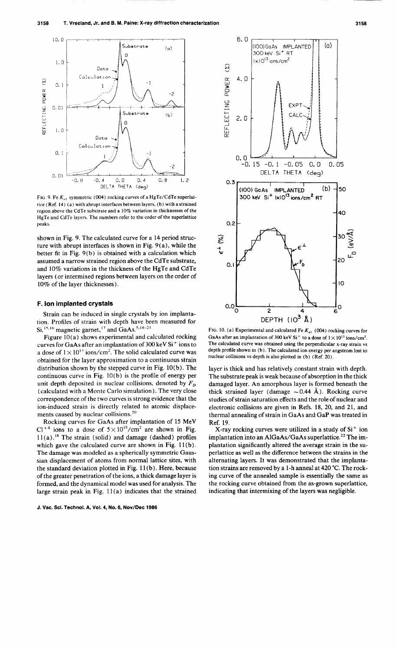

FIG. 9. Fe  $K_{a1}$  symmetric (004) rocking curves of a HgTe/CdTe superlattice (Ref. 14) (a) with abrupt interfaces between layers, (b) with a strained region above the CdTe substrate and a 10% variation in thicknesses of the HgTe and CdTe layers. The numbers refer to the order of the superlattice peaks.

shown in Fig. 9. The calculated curve for a 14 period structure with abrupt interfaces is shown in Fig. 9(a), while the better fit in Fig. 9(b) is obtained with a calculation which assumed a narrow strained region above the CdTe substrate, and 10% variations in the thickness of the HgTe and CdTe layers (or intermixed regions between layers on the order of 10% of the layer thicknesses).

#### **F.lon** implanted crystals

Strain can be induced in single crystals by ion implantation. Profiles of strain with depth have been measured for  $Si<sub>1</sub><sup>15,16</sup>$  magnetic garnet,  $^{17}$  and GaAs.<sup>5,18-21</sup>

Figure lO(a) shows experimental and calculated rocking curves for GaAs after an implantation of 300 keV  $Si<sup>+</sup>$  ions to a dose of  $1 \times 10^{13}$  ions/cm<sup>2</sup>. The solid calculated curve was obtained for the layer approximation to a continuous strain distribution shown by the stepped curve in Fig. lO(b). The continuous curve in Fig.  $10(b)$  is the profile of energy per unit depth deposited in nuclear collisions, denoted by  $F<sub>p</sub>$ (calculated with a Monte Carlo simulation). The very close correspondence of the two curves is strong evidence that the ion-induced strain is directly related to atomic displacements caused by nuclear collisions.<sup>20</sup>

Rocking curves for GaAs after implantation of 15 MeV  $Cl^{+4}$  ions to a dose of  $5 \times 10^{15}$ /cm<sup>2</sup> are shown in Fig.  $11(a)$ .<sup>18</sup> The strain (solid) and damage (dashed) profiles which gave the calculated curve are shown in Fig. 11(b). The damage was modeled as a spherically symmetric Gaussian displacement of atoms from normal lattice sites, with the standard deviation plotted in Fig. 11 (b). Here, because of the greater penetration of the ions, a thick damage layer is formed, and the dynamical model was used for analysis. The large strain peak in Fig. 11 (a) indicates that the strained





FIG. 10. (a) Experimental and calculated Fe  $K_{\alpha 1}$  (004) rocking curves for GaAs after an implantation of 300 keV Si<sup>+</sup> to a dose of  $1 \times 10^{13}$  ions/cm<sup>2</sup>. The calculated curve was obtained using the perpendicular x-ray strain vs depth profile shown in (b). The calculated ion energy per angstrom lost to nuclear collisions vs depth is also plotted in (b) (Ref. 20).

layer is thick and has relatively constant strain with depth. The substrate peak is weak because of absorption in the thick damaged layer. An amorphous layer is formed beneath the thick strained layer (damage  $\sim$  0.44 Å). Rocking curve studies of strain saturation effects and the role of nuclear and electronic collisions are given in Refs. 18, 20, and 21, and thermal annealing of strain in GaAs and GaP was treated in Ref. 19.

X-ray rocking curves were utilized in a study of  $Si<sup>+</sup>$  ion implantation into an AlGaAs/GaAs superlattice.<sup>22</sup> The implantation significantly altered the average strain in the superlattice as well as the difference between the strains in the alternating layers. It was demonstrated that the implantation strains are removed by a 1-h anneal at 420 °C. The rocking curve of the annealed sample is essentially the same as the rocking curve obtained from the as-grown superlattice, indicating that intermixing of the layers was negligible.